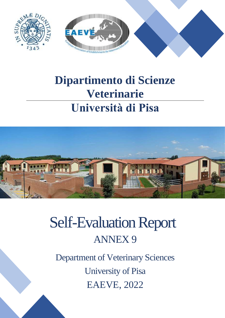

# **Dipartimento di Scienze Veterinarie Università di Pisa**

 $SU_{P}$ 



# Self-Evaluation Report ANNEX 9

Department of Veterinary Sciences University of Pisa EAEVE, 2022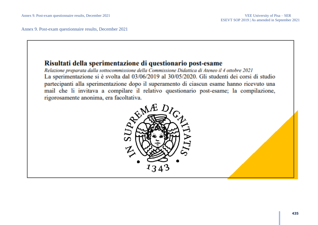Annex 9. Post-exam questionnaire results, December 2021

### Risultati della sperimentazione di questionario post-esame

Relazione preparata dalla sottocommissione della Commissione Didattica di Ateneo il 4 ottobre 2021 La sperimentazione si è svolta dal 03/06/2019 al 30/05/2020. Gli studenti dei corsi di studio partecipanti alla sperimentazione dopo il superamento di ciascun esame hanno ricevuto una mail che li invitava a compilare il relativo questionario post-esame; la compilazione, rigorosamente anonima, era facoltativa.

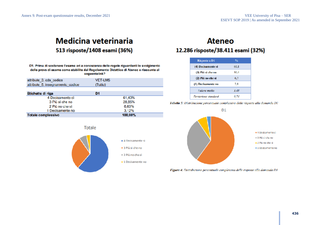### **Medicina veterinaria** 513 risposte/1408 esami (36%)

D1. Prima di sostenere l'esame eri a conoscenza delle regole riguardanti lo svolgimento delle prove di esame come stabilite dal Regolamento Didattico di Ateneo e riassunte al seguentelink?

| attribute 3. cds codice          | <b>VET-LM5</b> |
|----------------------------------|----------------|
| altribule 5, insegnamento codice | (Tullo)        |
| Etichette di riga                | D <sub>1</sub> |
| 4 Decisamente sì                 | 61,40%         |
| 3 Più sì che no                  | 28,85%         |
| 2 Più no che sì                  | 6,63%          |
| 1 Decisamente no                 | 3.12%          |
| <b>Totale complessivo</b>        | 100,00%        |

### **Ateneo** 12.286 risposte/38.411 esami (32%)

| <b>Risposte a D1</b> | %    |
|----------------------|------|
| (4) Decisamente si   | 60.1 |
| (3) Più si che no    | 30.4 |
| (2) Più no che si    | 6.7  |
| (1) Decisamente no   | 2.8  |
| Valore medio         | 3.48 |
| Deviazione standard  | 0.74 |

Tabella 5: Distribuzione percentuale complessiva delle risposte alla domanda DI



Figura 4: Distribuzione percentuale complessiva delle risposte alla domanda D1



Totale

|  | 3 Più si che no |  |  |
|--|-----------------|--|--|
|  |                 |  |  |
|  |                 |  |  |

# 4 Decisamente si

- 2 Più no che sì
- · 1 Decisamente no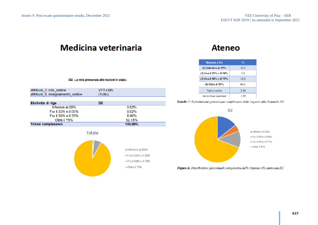|  |  |  | D2. La mia presenza alle lezioni è stata: |  |  |  |  |
|--|--|--|-------------------------------------------|--|--|--|--|
|--|--|--|-------------------------------------------|--|--|--|--|

| attribute 3 cds codice<br>attribute 5. insegnamento codice | VET-LM5<br>(Tutto) |
|------------------------------------------------------------|--------------------|
|                                                            |                    |
|                                                            |                    |

| Etichette di riga   | D2      |
|---------------------|---------|
| Inferiore al 25%    | 0.83%   |
| Fra il 25% e il 50% | 0.62%   |
| Fra il 50% e il 75% | 6.40%   |
| Oltre   75%         | 92.15%  |
| Totale complessivo  | 100.00% |





### **Ateneo**

| Risposte a D <sub>2</sub> | v.   |
|---------------------------|------|
| $(1)$ Inferiore al $25%$  | 14.2 |
| (2) Fra il 25% e il 50%   | 5.0  |
| (3) Fra il 50% e il 75%   | 11.5 |
| (4) Oltre il 75%          | 69.3 |
| Valore medio              | 3.36 |
| Deviazione standard       | 1.09 |

Tabella 7: Distribuzione percentuale complessiva delle risposte alla domanda D2

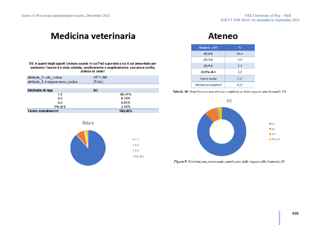D3. A quanti degli appelli (incluso questo in cui l'hai superato) a cui ti sei presentato per sostenere l'esame ti è stata valutata, positivamente o negativamente, una prova scritta, pratica od oralo?

| attribute 3 ods codice<br>attribute 5, insegnamento codice | VET-LM5<br>(Tulto)       |
|------------------------------------------------------------|--------------------------|
| Etichette di riga                                          | D3                       |
| $1-2$<br>$3-4$<br>5-6                                      | 88,44%<br>8.16%<br>0.91% |
| Più di 6                                                   | 2.49%                    |
| <b>Totale complessive</b>                                  | 100,00%                  |



 $+1-2$ 

 $-3-4$  $= 5-6$ · Più di G

### **Ateneo**

| Risposte a D3       | $\mathcal{H}_0$ |
|---------------------|-----------------|
| (1) 1-2             | 88.4            |
| $(2)$ 3-4           | 8.0             |
| $(3) 5 - 6$         | 1,4             |
| (4) Più di 6        | 22              |
| Valore medio        | 1.17            |
| Deviazione standard | 0.55            |

Tabella 10: Distribuzione percentuale complessiva delle risposte alla domanda D3



Figura 8: Distribuzione percentuale complessiva delle risposte alla domanda D3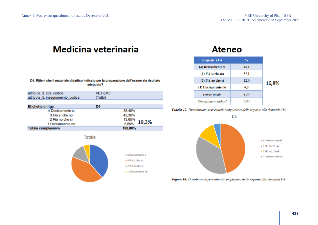**Totale complessivo** 

# **Medicina veterinaria**

D4. Ritieni che il materiale didattico indicato per la preparazione dell'esame sia risultato adeguato?

| attribute_3. cds_codice<br>attribute 5. insegnamento codice | <b>VET-LM5</b><br>(Tutto) |        |       |
|-------------------------------------------------------------|---------------------------|--------|-------|
|                                                             |                           |        |       |
| Etichette di riga                                           | D <sub>4</sub>            |        |       |
| 4 Decisamente si                                            |                           | 38,40% |       |
| 3 Più sì che no                                             |                           | 42,30% |       |
| 2 Più no che sì                                             |                           | 13,65% |       |
| 1 Decisamente no                                            |                           | 5,65%  | 19,3% |

Totale



100.00%

## **Ateneo**

| Risposte a D4       | %    |       |
|---------------------|------|-------|
| (4) Decisamente si  | 46.I |       |
| (3) Più sì che no   | 37.1 |       |
| (2) Più no che sì   | 12.0 | 16,8% |
| (1) Decisamente no  | 4,8  |       |
| Valore medio        | 3,25 |       |
| Deviazione standard | 0.84 |       |





Figura 10: Distribuzione percentuale complessiva delle risposte alla domanda D4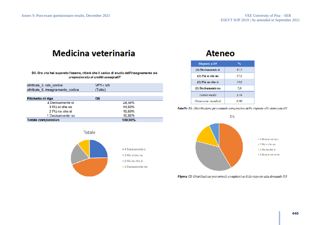#### D5. Ora che hai superato l'esame, ritieni che il carico di studio dell'insegnamento sia proporzionato ai crediti assegnati?

| attribute 3 cds codice<br>attribute 5. insegnamento codice | VET-LM5<br>(Tutto) |
|------------------------------------------------------------|--------------------|
| Etichette di riga                                          | D5                 |
| 4 Decisamente si                                           | 24,56%             |
| 3 Più si che no                                            | 44,83%             |
| 2 Più no che sì                                            | 19,69%             |
| 1 Decisamente no                                           | 10,92%             |
| Totale complessivo                                         | 100.00%            |



## **Ateneo**

| <b>Risposte a D5</b> | %     |
|----------------------|-------|
| (4) Decisamente si   | 41.5  |
| (3) Più si che no    | 37.5  |
| (2) Più no che sì    | 14.0  |
| (1) Decisamente no   | 7.0   |
| Valore medio         | 3.14  |
| Deviazione standard  | 0. SO |

#### Tabella 15: Distribuzione percentuale complessiva delle risposte alla domanda D5



Figura 12: Distribuzione percentuale complessiva delle risposte alla domanda D5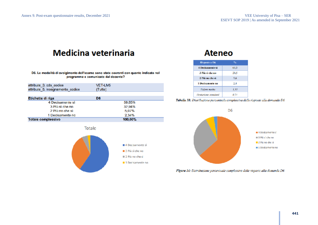#### D6. Le modalità di svolgimento dell'esame sono state coerenti con quanto indicato nel programma e comunicato dal docente?

| attribute 3. cds codice<br>attribute 5. insegnamento codice | <b>VET-LM5</b><br>(Tutto) |
|-------------------------------------------------------------|---------------------------|
|                                                             |                           |
| Etichette di riga                                           | D <sub>6</sub>            |
| 4 Decisamente sì                                            | 59.65%                    |
| 3 Più sì che no                                             | 32,94%                    |
| 2 Più no che sì                                             | 5.07%                     |
| 1 Decisamente no                                            | 2.34%                     |
| Totale complessivo                                          | 100,00%                   |



### **Ateneo**

| Risposte a D6           | ۰.   |
|-------------------------|------|
| <b>4 Decisamente si</b> | 63.5 |
| 3 Più sì che no         | 28.5 |
| 2 Più no che sì         | 5.6  |
| 1 Decisamente no        | 2.4  |
| Valore media            | 3.53 |
| Deviazione standard     | 0.71 |

#### Tabella 18: Distribuzione percentuale complessiva delle risposte alla domanda D6



Flgura 14: Distribuzione percentuale complessiva delle risposte alla domanda D6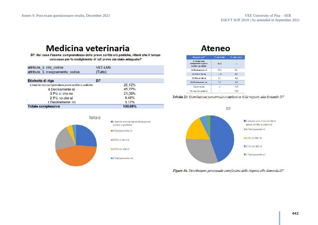D7. Nel caso l'esame comprendesse delle prove scritte e/o pratiche, ritieni che il tempo concesso per lo svolgimento di tali prove sia stato adeguato?

| attribute 3. cds codice<br>attribute 5. insegnamento codice | VET-LM5<br>(Tutto) |
|-------------------------------------------------------------|--------------------|
| Etichette di riga                                           | D7                 |
| L'esame non comprendeva prove scritte o pratiche            | 26,12%             |
| 4 Decisamente si                                            | 45.22%             |
| 3 Pù sì che no                                              | 21,05%             |
| 2 Pù no che si                                              | 4.48%              |
| 1 Decisamente no                                            | 3.12%              |
| <b>Totale complessivo</b>                                   | 100.00%            |



### **Ateneo**

| Risposte a DT                                            | 75 sul totale | % subcurred |
|----------------------------------------------------------|---------------|-------------|
| L'estate non<br>compriendeva prove<br>scribbe o pratiche | $4 - 5$       | <b>1999</b> |
| (4) Discission in the si-                                | 91.1          | 56.1        |
| [3] Più si che no-                                       | $L$ and       | 90,2        |
| [2) Più no che si                                        | $-5.1$        | 92          |
| (I) Derivatornic on                                      | 23            | 4,0         |
| <b>Fairer</b> media                                      | <b>Signal</b> | 3.39        |
| Deviations standard                                      |               | 9,82        |

Tabella 21: Distribuzione percentuale complessiva delle risposte alla domanda D7



Flgura 16: Distribuzione percentuale complessiva delle risposte alla domanda D7